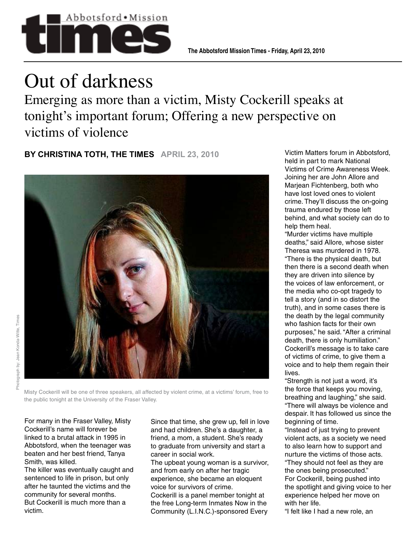

## Out of darkness

Emerging as more than a victim, Misty Cockerill speaks at tonight's important forum; Offering a new perspective on victims of violence

**BY CHRISTINA TOTH, THE TIMES APRIL 23, 2010**



Misty Cockerill will be one of three speakers, all affected by violent crime, at a victims' forum, free to the public tonight at the University of the Fraser Valley.

For many in the Fraser Valley, Misty Cockerill's name will forever be linked to a brutal attack in 1995 in Abbotsford, when the teenager was beaten and her best friend, Tanya Smith, was killed.

The killer was eventually caught and sentenced to life in prison, but only after he taunted the victims and the community for several months. But Cockerill is much more than a victim.

Since that time, she grew up, fell in love and had children. She's a daughter, a friend, a mom, a student. She's ready to graduate from university and start a career in social work.

The upbeat young woman is a survivor, and from early on after her tragic experience, she became an eloquent voice for survivors of crime. Cockerill is a panel member tonight at the free Long-term Inmates Now in the Community (L.I.N.C.)-sponsored Every

Victim Matters forum in Abbotsford, held in part to mark National Victims of Crime Awareness Week. Joining her are John Allore and Marjean Fichtenberg, both who have lost loved ones to violent crime. They'll discuss the on-going trauma endured by those left behind, and what society can do to help them heal.

"Murder victims have multiple deaths," said Allore, whose sister Theresa was murdered in 1978. "There is the physical death, but then there is a second death when they are driven into silence by the voices of law enforcement, or the media who co-opt tragedy to tell a story (and in so distort the truth), and in some cases there is the death by the legal community who fashion facts for their own purposes," he said. "After a criminal death, there is only humiliation." Cockerill's message is to take care of victims of crime, to give them a voice and to help them regain their lives.

"Strength is not just a word, it's the force that keeps you moving, breathing and laughing," she said. "There will always be violence and despair. It has followed us since the beginning of time.

"Instead of just trying to prevent violent acts, as a society we need to also learn how to support and nurture the victims of those acts. "They should not feel as they are the ones being prosecuted." For Cockerill, being pushed into the spotlight and giving voice to her experience helped her move on with her life.

"I felt like I had a new role, an